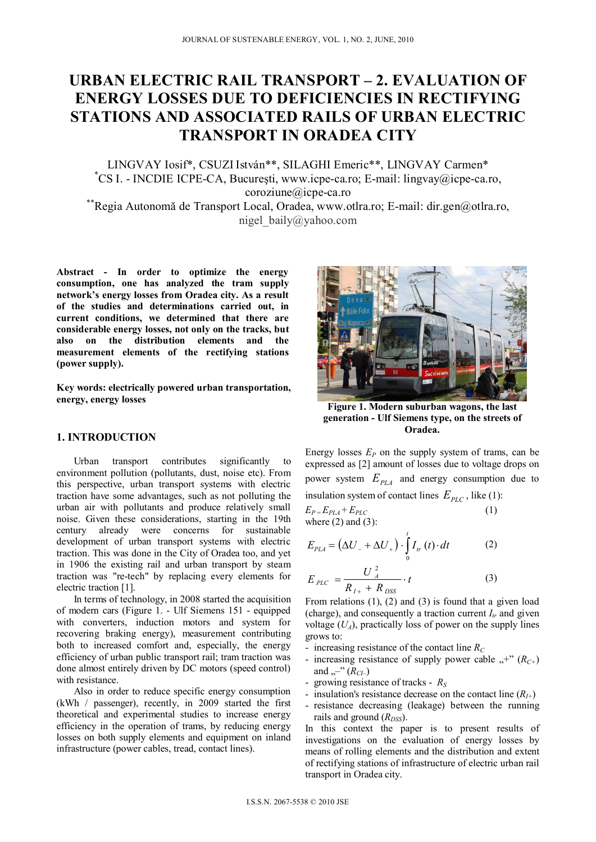# **URBAN ELECTRIC RAIL TRANSPORT – 2. EVALUATION OF ENERGY LOSSES DUE TO DEFICIENCIES IN RECTIFYING STATIONS AND ASSOCIATED RAILS OF URBAN ELECTRIC TRANSPORT IN ORADEA CITY**

LINGVAY Iosif\*, CSUZI István\*\*, SILAGHI Emeric\*\*, LINGVAY Carmen\* \* CS I. - INCDIE ICPE-CA, Bucureşti, www.icpe-ca.ro; E-mail: lingvay@icpe-ca.ro, coroziune@icpe-ca.ro \*\*<br>Regia Autonomă de Transport Local, Oradea, www.otlra.ro; E-mail: dir.gen@otlra.ro,\*

nigel\_baily@yahoo.com

**Abstract - In order to optimize the energy consumption, one has analyzed the tram supply network's energy losses from Oradea city. As a result of the studies and determinations carried out, in current conditions, we determined that there are considerable energy losses, not only on the tracks, but also on the distribution elements and the measurement elements of the rectifying stations (power supply).** 

**Key words: electrically powered urban transportation, energy, energy losses** 

## **1. INTRODUCTION**

Urban transport contributes significantly to environment pollution (pollutants, dust, noise etc). From this perspective, urban transport systems with electric traction have some advantages, such as not polluting the urban air with pollutants and produce relatively small noise. Given these considerations, starting in the 19th century already were concerns for sustainable development of urban transport systems with electric traction. This was done in the City of Oradea too, and yet in 1906 the existing rail and urban transport by steam traction was "re-tech" by replacing every elements for electric traction [1].

In terms of technology, in 2008 started the acquisition of modern cars (Figure 1. - Ulf Siemens 151 - equipped with converters, induction motors and system for recovering braking energy), measurement contributing both to increased comfort and, especially, the energy efficiency of urban public transport rail; tram traction was done almost entirely driven by DC motors (speed control) with resistance.

Also in order to reduce specific energy consumption (kWh / passenger), recently, in 2009 started the first theoretical and experimental studies to increase energy efficiency in the operation of trams, by reducing energy losses on both supply elements and equipment on inland infrastructure (power cables, tread, contact lines).



**Figure 1. Modern suburban wagons, the last generation - Ulf Siemens type, on the streets of Oradea.**

Energy losses  $E_P$  on the supply system of trams, can be expressed as [2] amount of losses due to voltage drops on power system  $E_{PLA}$  and energy consumption due to insulation system of contact lines  $E_{PLC}$ , like (1):  $E_{P} = E_{PLA} + E_{PLC}$  (1)

$$
E_P = E_{PLA} + E_{PLC}
$$
  
where (2) and (3):

$$
E_{PLA} = \left(\Delta U_- + \Delta U_+\right) \cdot \int_0^t I_{tr}\left(t\right) \cdot dt \tag{2}
$$

$$
E_{PLC} = \frac{U_A^2}{R_{I+} + R_{DSS}} \cdot t
$$
 (3)

From relations  $(1)$ ,  $(2)$  and  $(3)$  is found that a given load (charge), and consequently a traction current  $I<sub>r</sub>$  and given voltage  $(U_A)$ , practically loss of power on the supply lines grows to:

- increasing resistance of the contact line  $R_C$
- increasing resistance of supply power cable  $,$ +"  $(R<sub>C+</sub>)$ and ,,-" ( $R_{CI}$ –)
- growing resistance of tracks *RS*
- insulation's resistance decrease on the contact line  $(R<sub>I+</sub>)$
- resistance decreasing (leakage) between the running rails and ground  $(R_{DSS})$ .

In this context the paper is to present results of investigations on the evaluation of energy losses by means of rolling elements and the distribution and extent of rectifying stations of infrastructure of electric urban rail transport in Oradea city.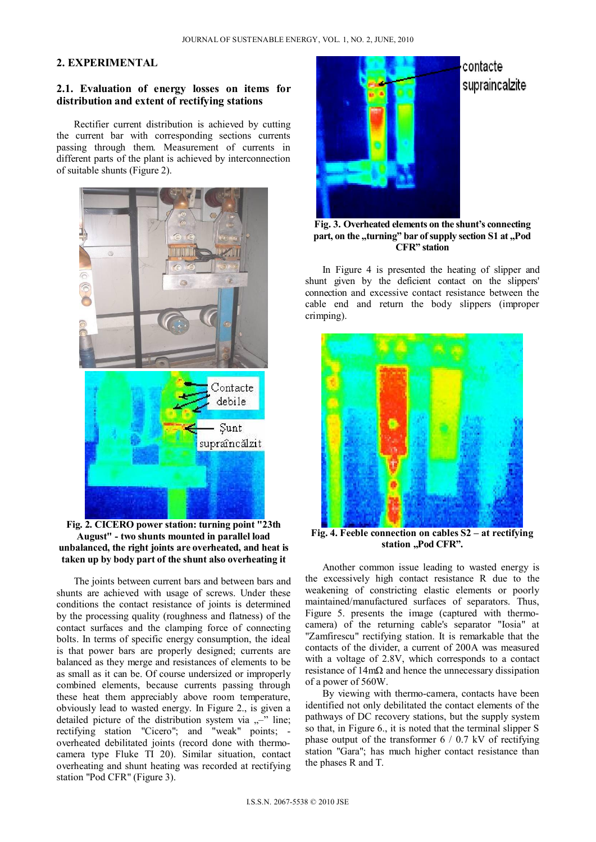# **2. EXPERIMENTAL**

## **2.1. Evaluation of energy losses on items for distribution and extent of rectifying stations**

Rectifier current distribution is achieved by cutting the current bar with corresponding sections currents passing through them. Measurement of currents in different parts of the plant is achieved by interconnection of suitable shunts (Figure 2).



**Fig. 2. CICERO power station: turning point "23th August" - two shunts mounted in parallel load unbalanced, the right joints are overheated, and heat is taken up by body part of the shunt also overheating it** 

The joints between current bars and between bars and shunts are achieved with usage of screws. Under these conditions the contact resistance of joints is determined by the processing quality (roughness and flatness) of the contact surfaces and the clamping force of connecting bolts. In terms of specific energy consumption, the ideal is that power bars are properly designed; currents are balanced as they merge and resistances of elements to be as small as it can be. Of course undersized or improperly combined elements, because currents passing through these heat them appreciably above room temperature, obviously lead to wasted energy. In Figure 2., is given a detailed picture of the distribution system via  $,$ <sup>-</sup>" line; rectifying station "Cicero"; and "weak" points; overheated debilitated joints (record done with thermocamera type Fluke TI 20). Similar situation, contact overheating and shunt heating was recorded at rectifying station "Pod CFR" (Figure 3).



**Fig. 3. Overheated elements on the shunt's connecting**  part, on the "turning" bar of supply section S1 at "Pod **CFR" station**

In Figure 4 is presented the heating of slipper and shunt given by the deficient contact on the slippers' connection and excessive contact resistance between the cable end and return the body slippers (improper crimping).



**Fig. 4. Feeble connection on cables S2 – at rectifying**  station "Pod CFR".

Another common issue leading to wasted energy is the excessively high contact resistance R due to the weakening of constricting elastic elements or poorly maintained/manufactured surfaces of separators. Thus, Figure 5. presents the image (captured with thermocamera) of the returning cable's separator "Iosia" at "Zamfirescu" rectifying station. It is remarkable that the contacts of the divider, a current of 200A was measured with a voltage of 2.8V, which corresponds to a contact resistance of 14mΩ and hence the unnecessary dissipation of a power of 560W.

By viewing with thermo-camera, contacts have been identified not only debilitated the contact elements of the pathways of DC recovery stations, but the supply system so that, in Figure 6., it is noted that the terminal slipper S phase output of the transformer  $6 / 0.7$  kV of rectifying station "Gara"; has much higher contact resistance than the phases R and T.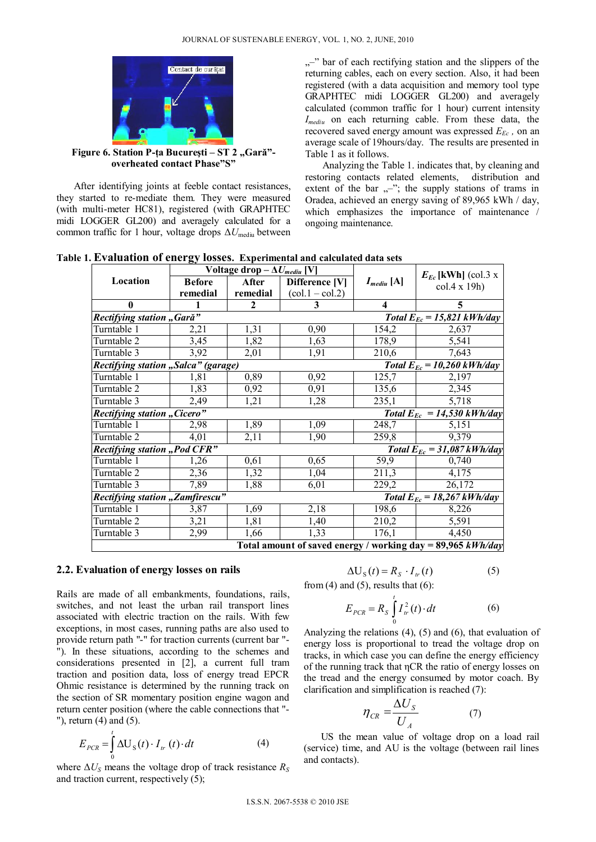

Figure 6. Station P-ța București – ST 2 "Gară"**overheated contact Phase"S"** 

After identifying joints at feeble contact resistances, they started to re-mediate them. They were measured (with multi-meter HC81), registered (with GRAPHTEC midi LOGGER GL200) and averagely calculated for a common traffic for 1 hour, voltage drops  $\Delta U_{\text{medium}}$  between

<sup>-</sup>/<sub>1</sub>,<sup>-</sup> bar of each rectifying station and the slippers of the returning cables, each on every section. Also, it had been registered (with a data acquisition and memory tool type GRAPHTEC midi LOGGER GL200) and averagely calculated (common traffic for 1 hour) current intensity *Imediu* on each returning cable. From these data, the recovered saved energy amount was expressed  $E_{Ec}$ , on an average scale of 19hours/day. The results are presented in Table 1 as it follows.

Analyzing the Table 1. indicates that, by cleaning and restoring contacts related elements, distribution and extent of the bar  $, -$ "; the supply stations of trams in Oradea, achieved an energy saving of 89,965 kWh / day, which emphasizes the importance of maintenance / ongoing maintenance.

**Table 1. Evaluation of energy losses. Experimental and calculated data sets** 

|                                                                              | Voltage drop $-\Delta U_{\text{medium}}$ [V] |                                 |                   |                               | $E_{Ec}$ [kWh] (col.3 x |  |  |
|------------------------------------------------------------------------------|----------------------------------------------|---------------------------------|-------------------|-------------------------------|-------------------------|--|--|
| Location                                                                     | <b>Before</b>                                | After                           | Difference [V]    | $I_{\text{median}}[\text{A}]$ | $col.4 \times 19h$      |  |  |
|                                                                              | remedial                                     | remedial                        | $(col.1 - col.2)$ |                               |                         |  |  |
| $\mathbf{0}$                                                                 |                                              | $\overline{2}$                  | 3                 | $\overline{\mathbf{4}}$       | 5                       |  |  |
| Rectifying station "Gară"                                                    |                                              | Total $E_{Ec} = 15,821$ kWh/day |                   |                               |                         |  |  |
| Turntable 1                                                                  | 2,21                                         | 1,31                            | 0,90              | 154,2                         | 2,637                   |  |  |
| Turntable 2                                                                  | 3,45                                         | 1,82                            | 1,63              | 178,9                         | 5,541                   |  |  |
| Turntable 3                                                                  | 3,92                                         | 2,01                            | 1,91              | 210,6                         | 7,643                   |  |  |
| Rectifying station "Salca" (garage)<br>Total $E_{Ec} = 10,260 \, kWh/day$    |                                              |                                 |                   |                               |                         |  |  |
| Turntable 1                                                                  | 1,81                                         | 0,89                            | 0,92              | 125,7                         | 2,197                   |  |  |
| Turntable 2                                                                  | 1,83                                         | 0,92                            | 0,91              | 135,6                         | 2,345                   |  |  |
| Turntable 3                                                                  | 2,49                                         | 1,21                            | 1,28              | 235,1                         | 5,718                   |  |  |
| Rectifying station "Cicero"                                                  | Total $E_{Ec} = 14,530 \, kWh/day$           |                                 |                   |                               |                         |  |  |
| Turntable 1                                                                  | 2,98                                         | 1,89                            | 1,09              | 248,7                         | 5,151                   |  |  |
| Turntable 2                                                                  | 4,01                                         | 2,11                            | 1,90              | 259,8                         | 9,379                   |  |  |
| <b>Rectifying station "Pod CFR"</b><br>Total $E_{Ec} = 31,087 \, kWh/day$    |                                              |                                 |                   |                               |                         |  |  |
| Turntable 1                                                                  | 1,26                                         | 0,61                            | 0,65              | 59,9                          | 0,740                   |  |  |
| Turntable 2                                                                  | 2,36                                         | 1,32                            | 1,04              | 211,3                         | 4,175                   |  |  |
| Turntable 3                                                                  | 7,89                                         | 1,88                            | 6,01              | 229,2                         | 26,172                  |  |  |
| <b>Rectifying station "Zamfirescu"</b><br>Total $E_{Ec} = 18,267 \, kWh/day$ |                                              |                                 |                   |                               |                         |  |  |
| Turntable 1                                                                  | 3,87                                         | 1,69                            | 2,18              | 198,6                         | 8,226                   |  |  |
| Turntable 2                                                                  | 3,21                                         | 1,81                            | 1,40              | 210,2                         | 5,591                   |  |  |
| Turntable 3                                                                  | 2,99                                         | 1,66                            | 1,33              | 176,1                         | 4,450                   |  |  |
| Total amount of saved energy / working day = 89,965 $kWh/day$                |                                              |                                 |                   |                               |                         |  |  |

### **2.2. Evaluation of energy losses on rails**

Rails are made of all embankments, foundations, rails, switches, and not least the urban rail transport lines associated with electric traction on the rails. With few exceptions, in most cases, running paths are also used to provide return path "-" for traction currents (current bar "- "). In these situations, according to the schemes and considerations presented in [2], a current full tram traction and position data, loss of energy tread EPCR Ohmic resistance is determined by the running track on the section of SR momentary position engine wagon and return center position (where the cable connections that "- "), return (4) and (5).

$$
E_{PCR} = \int_{0}^{t} \Delta U_{S}(t) \cdot I_{tr}(t) \cdot dt
$$
 (4)

where  $\Delta U_s$  means the voltage drop of track resistance  $R_s$ and traction current, respectively (5);

$$
\Delta U_{\rm S}(t) = R_{\rm S} \cdot I_{tr}(t) \tag{5}
$$

from  $(4)$  and  $(5)$ , results that  $(6)$ :

$$
E_{PCR} = R_s \int_{0}^{t} I_w^2(t) \cdot dt
$$
 (6)

Analyzing the relations (4), (5) and (6), that evaluation of energy loss is proportional to tread the voltage drop on tracks, in which case you can define the energy efficiency of the running track that ηCR the ratio of energy losses on the tread and the energy consumed by motor coach. By clarification and simplification is reached (7):

$$
\eta_{CR} = \frac{\Delta U_s}{U_A} \tag{7}
$$

US the mean value of voltage drop on a load rail (service) time, and AU is the voltage (between rail lines and contacts).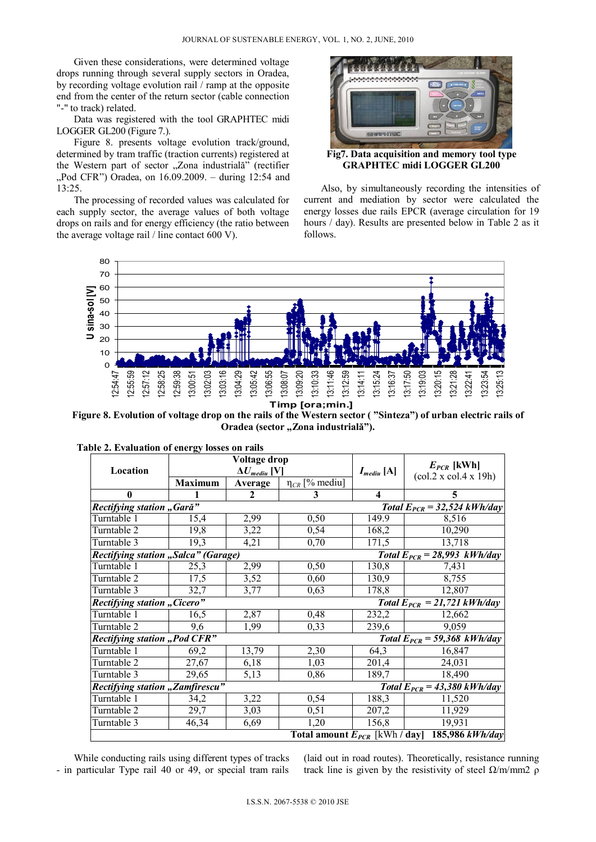Given these considerations, were determined voltage drops running through several supply sectors in Oradea, by recording voltage evolution rail / ramp at the opposite end from the center of the return sector (cable connection "-" to track) related.

Data was registered with the tool GRAPHTEC midi LOGGER GL200 (Figure 7.).

Figure 8. presents voltage evolution track/ground, determined by tram traffic (traction currents) registered at the Western part of sector "Zona industrială" (rectifier "Pod CFR") Oradea, on 16.09.2009. – during 12:54 and 13:25.

The processing of recorded values was calculated for each supply sector, the average values of both voltage drops on rails and for energy efficiency (the ratio between the average voltage rail / line contact 600 V).



**Fig7. Data acquisition and memory tool type GRAPHTEC midi LOGGER GL200** 

Also, by simultaneously recording the intensities of current and mediation by sector were calculated the energy losses due rails EPCR (average circulation for 19 hours / day). Results are presented below in Table 2 as it follows.



**Figure 8. Evolution of voltage drop on the rails of the Western sector ( "Sinteza") of urban electric rails of**  Oradea (sector "Zona industrială").

|                                                                                |                                | Voltage drop |                       |                               |                                           |  |  |  |
|--------------------------------------------------------------------------------|--------------------------------|--------------|-----------------------|-------------------------------|-------------------------------------------|--|--|--|
| Location                                                                       | $\Delta U_{\text{medium}}$ [V] |              |                       | $I_{\text{medium}}[\text{A}]$ | $E_{PCR}$ [kWh]                           |  |  |  |
|                                                                                | <b>Maximum</b>                 | Average      | $\eta_{CR}$ [% mediu] |                               | $\left(\text{col.2 x col.4 x 19h}\right)$ |  |  |  |
| 0                                                                              |                                | 2            | 3                     | $\overline{\mathbf{4}}$       | 5                                         |  |  |  |
| Rectifying station "Gară"<br>Total $E_{PCR} = 32,524$ kWh/day                  |                                |              |                       |                               |                                           |  |  |  |
| Turntable 1                                                                    | 15,4                           | 2,99         | 0,50                  | 149.9                         | 8,516                                     |  |  |  |
| Turntable 2                                                                    | 19,8                           | 3,22         | 0,54                  | 168,2                         | 10,290                                    |  |  |  |
| Turntable 3                                                                    | 19,3                           | 4,21         | 0,70                  | 171,5                         | 13,718                                    |  |  |  |
| <b>Rectifying station "Salca" (Garage)</b><br>Total $E_{PCR} = 28,993$ kWh/day |                                |              |                       |                               |                                           |  |  |  |
| Turntable 1                                                                    | 25,3                           | 2,99         | 0,50                  | 130,8                         | 7,431                                     |  |  |  |
| Turntable 2                                                                    | 17,5                           | 3,52         | 0,60                  | 130,9                         | 8,755                                     |  |  |  |
| Turntable 3                                                                    | 32,7                           | 3,77         | 0,63                  | 178,8                         | 12,807                                    |  |  |  |
| <b>Rectifying station "Cicero"</b><br>Total $E_{PCR} = 21,721$ kWh/day         |                                |              |                       |                               |                                           |  |  |  |
| Turntable 1                                                                    | 16,5                           | 2,87         | 0,48                  | 232,2                         | 12,662                                    |  |  |  |
| Turntable 2                                                                    | 9,6                            | 1,99         | 0,33                  | 239,6                         | 9,059                                     |  |  |  |
| <b>Rectifying station "Pod CFR"</b><br>Total $E_{PCR} = 59,368 \, kWh/day$     |                                |              |                       |                               |                                           |  |  |  |
| Turntable 1                                                                    | 69,2                           | 13,79        | 2,30                  | 64,3                          | 16,847                                    |  |  |  |
| Turntable 2                                                                    | 27,67                          | 6,18         | 1,03                  | 201,4                         | 24,031                                    |  |  |  |
| Turntable 3                                                                    | 29,65                          | 5,13         | 0,86                  | 189,7                         | 18,490                                    |  |  |  |
| <b>Rectifying station "Zamfirescu"</b><br>Total $E_{PCR} = 43,380$ kWh/day     |                                |              |                       |                               |                                           |  |  |  |
| Turntable 1                                                                    | 34,2                           | 3,22         | 0,54                  | 188,3                         | 11,520                                    |  |  |  |
| Turntable 2                                                                    | 29,7                           | 3,03         | 0,51                  | 207,2                         | 11,929                                    |  |  |  |
| Turntable 3                                                                    | 46,34                          | 6,69         | 1,20                  | 156,8                         | 19,931                                    |  |  |  |
| 185,986 kWh/day<br>Total amount $E_{PCR}$ [kWh / day]                          |                                |              |                       |                               |                                           |  |  |  |

While conducting rails using different types of tracks - in particular Type rail 40 or 49, or special tram rails

(laid out in road routes). Theoretically, resistance running track line is given by the resistivity of steel  $Ω/m/mm2 ρ$